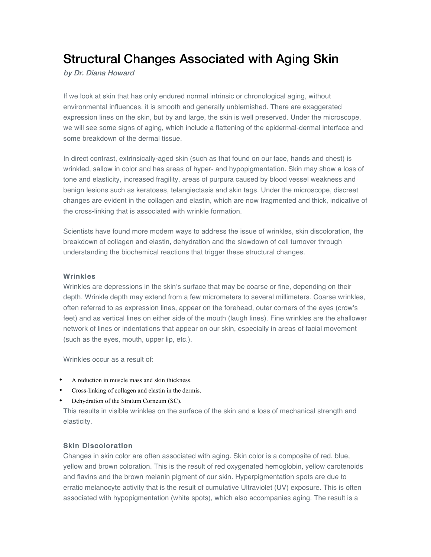# Structural Changes Associated with Aging Skin

by Dr. Diana Howard

If we look at skin that has only endured normal intrinsic or chronological aging, without environmental influences, it is smooth and generally unblemished. There are exaggerated expression lines on the skin, but by and large, the skin is well preserved. Under the microscope, we will see some signs of aging, which include a flattening of the epidermal-dermal interface and some breakdown of the dermal tissue.

In direct contrast, extrinsically-aged skin (such as that found on our face, hands and chest) is wrinkled, sallow in color and has areas of hyper- and hypopigmentation. Skin may show a loss of tone and elasticity, increased fragility, areas of purpura caused by blood vessel weakness and benign lesions such as keratoses, telangiectasis and skin tags. Under the microscope, discreet changes are evident in the collagen and elastin, which are now fragmented and thick, indicative of the cross-linking that is associated with wrinkle formation.

Scientists have found more modern ways to address the issue of wrinkles, skin discoloration, the breakdown of collagen and elastin, dehydration and the slowdown of cell turnover through understanding the biochemical reactions that trigger these structural changes.

### **Wrinkles**

Wrinkles are depressions in the skin's surface that may be coarse or fine, depending on their depth. Wrinkle depth may extend from a few micrometers to several millimeters. Coarse wrinkles, often referred to as expression lines, appear on the forehead, outer corners of the eyes (crow's feet) and as vertical lines on either side of the mouth (laugh lines). Fine wrinkles are the shallower network of lines or indentations that appear on our skin, especially in areas of facial movement (such as the eyes, mouth, upper lip, etc.).

Wrinkles occur as a result of:

- A reduction in muscle mass and skin thickness.
- Cross-linking of collagen and elastin in the dermis.
- Dehydration of the Stratum Corneum (SC).

This results in visible wrinkles on the surface of the skin and a loss of mechanical strength and elasticity.

## Skin Discoloration

Changes in skin color are often associated with aging. Skin color is a composite of red, blue, yellow and brown coloration. This is the result of red oxygenated hemoglobin, yellow carotenoids and flavins and the brown melanin pigment of our skin. Hyperpigmentation spots are due to erratic melanocyte activity that is the result of cumulative Ultraviolet (UV) exposure. This is often associated with hypopigmentation (white spots), which also accompanies aging. The result is a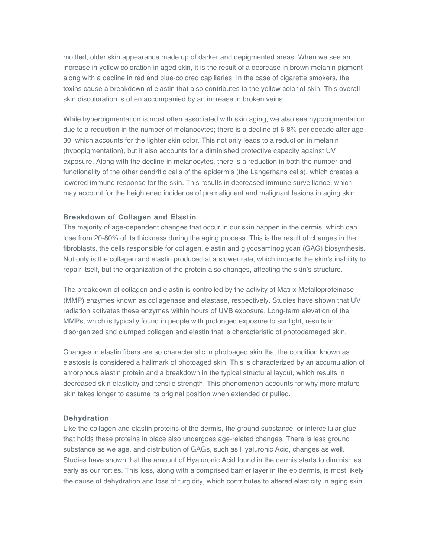mottled, older skin appearance made up of darker and depigmented areas. When we see an increase in yellow coloration in aged skin, it is the result of a decrease in brown melanin pigment along with a decline in red and blue-colored capillaries. In the case of cigarette smokers, the toxins cause a breakdown of elastin that also contributes to the yellow color of skin. This overall skin discoloration is often accompanied by an increase in broken veins.

While hyperpigmentation is most often associated with skin aging, we also see hypopigmentation due to a reduction in the number of melanocytes; there is a decline of 6-8% per decade after age 30, which accounts for the lighter skin color. This not only leads to a reduction in melanin (hypopigmentation), but it also accounts for a diminished protective capacity against UV exposure. Along with the decline in melanocytes, there is a reduction in both the number and functionality of the other dendritic cells of the epidermis (the Langerhans cells), which creates a lowered immune response for the skin. This results in decreased immune surveillance, which may account for the heightened incidence of premalignant and malignant lesions in aging skin.

### Breakdown of Collagen and Elastin

The majority of age-dependent changes that occur in our skin happen in the dermis, which can lose from 20-80% of its thickness during the aging process. This is the result of changes in the fibroblasts, the cells responsible for collagen, elastin and glycosaminoglycan (GAG) biosynthesis. Not only is the collagen and elastin produced at a slower rate, which impacts the skin's inability to repair itself, but the organization of the protein also changes, affecting the skin's structure.

The breakdown of collagen and elastin is controlled by the activity of Matrix Metalloproteinase (MMP) enzymes known as collagenase and elastase, respectively. Studies have shown that UV radiation activates these enzymes within hours of UVB exposure. Long-term elevation of the MMPs, which is typically found in people with prolonged exposure to sunlight, results in disorganized and clumped collagen and elastin that is characteristic of photodamaged skin.

Changes in elastin fibers are so characteristic in photoaged skin that the condition known as elastosis is considered a hallmark of photoaged skin. This is characterized by an accumulation of amorphous elastin protein and a breakdown in the typical structural layout, which results in decreased skin elasticity and tensile strength. This phenomenon accounts for why more mature skin takes longer to assume its original position when extended or pulled.

#### **Dehydration**

Like the collagen and elastin proteins of the dermis, the ground substance, or intercellular glue, that holds these proteins in place also undergoes age-related changes. There is less ground substance as we age, and distribution of GAGs, such as Hyaluronic Acid, changes as well. Studies have shown that the amount of Hyaluronic Acid found in the dermis starts to diminish as early as our forties. This loss, along with a comprised barrier layer in the epidermis, is most likely the cause of dehydration and loss of turgidity, which contributes to altered elasticity in aging skin.